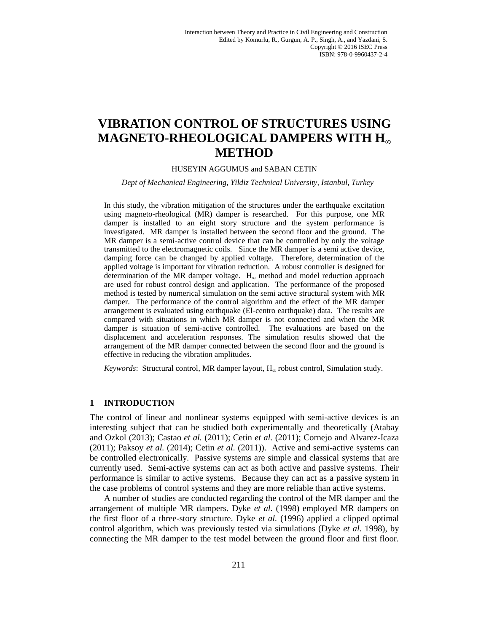# **VIBRATION CONTROL OF STRUCTURES USING MAGNETO-RHEOLOGICAL DAMPERS WITH H<sup>∞</sup> METHOD**

#### HUSEYIN AGGUMUS and SABAN CETIN

*Dept of Mechanical Engineering, Yildiz Technical University, Istanbul, Turkey*

In this study, the vibration mitigation of the structures under the earthquake excitation using magneto-rheological (MR) damper is researched. For this purpose, one MR damper is installed to an eight story structure and the system performance is investigated. MR damper is installed between the second floor and the ground. The MR damper is a semi-active control device that can be controlled by only the voltage transmitted to the electromagnetic coils. Since the MR damper is a semi active device, damping force can be changed by applied voltage. Therefore, determination of the applied voltage is important for vibration reduction. A robust controller is designed for determination of the MR damper voltage.  $H_{\infty}$  method and model reduction approach are used for robust control design and application. The performance of the proposed method is tested by numerical simulation on the semi active structural system with MR damper. The performance of the control algorithm and the effect of the MR damper arrangement is evaluated using earthquake (El-centro earthquake) data. The results are compared with situations in which MR damper is not connected and when the MR damper is situation of semi-active controlled. The evaluations are based on the displacement and acceleration responses. The simulation results showed that the arrangement of the MR damper connected between the second floor and the ground is effective in reducing the vibration amplitudes.

*Keywords*: Structural control, MR damper layout, H<sup>∞</sup> robust control, Simulation study.

# **1 INTRODUCTION**

The control of linear and nonlinear systems equipped with semi-active devices is an interesting subject that can be studied both experimentally and theoretically (Atabay and Ozkol (2013); Castao *et al.* (2011); Cetin *et al.* (2011); Cornejo and Alvarez-Icaza (2011); Paksoy *et al.* (2014); Cetin *et al.* (2011)). Active and semi-active systems can be controlled electronically. Passive systems are simple and classical systems that are currently used. Semi-active systems can act as both active and passive systems. Their performance is similar to active systems. Because they can act as a passive system in the case problems of control systems and they are more reliable than active systems.

A number of studies are conducted regarding the control of the MR damper and the arrangement of multiple MR dampers. Dyke *et al.* (1998) employed MR dampers on the first floor of a three-story structure. Dyke *et al.* (1996) applied a clipped optimal control algorithm, which was previously tested via simulations (Dyke *et al.* 1998), by connecting the MR damper to the test model between the ground floor and first floor.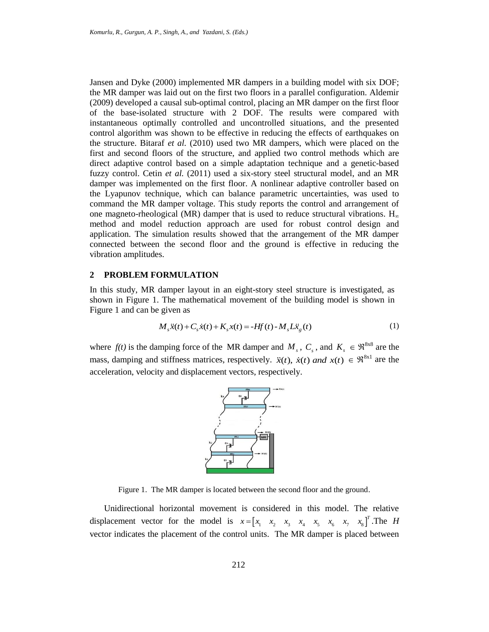Jansen and Dyke (2000) implemented MR dampers in a building model with six DOF; the MR damper was laid out on the first two floors in a parallel configuration. Aldemir (2009) developed a causal sub-optimal control, placing an MR damper on the first floor of the base-isolated structure with 2 DOF. The results were compared with instantaneous optimally controlled and uncontrolled situations, and the presented control algorithm was shown to be effective in reducing the effects of earthquakes on the structure. Bitaraf *et al.* (2010) used two MR dampers, which were placed on the first and second floors of the structure, and applied two control methods which are direct adaptive control based on a simple adaptation technique and a genetic-based fuzzy control. Cetin *et al.* (2011) used a six-story steel structural model, and an MR damper was implemented on the first floor. A nonlinear adaptive controller based on the Lyapunov technique, which can balance parametric uncertainties, was used to command the MR damper voltage. This study reports the control and arrangement of one magneto-rheological (MR) damper that is used to reduce structural vibrations.  $H_{\infty}$ method and model reduction approach are used for robust control design and application. The simulation results showed that the arrangement of the MR damper connected between the second floor and the ground is effective in reducing the vibration amplitudes.

# **2 PROBLEM FORMULATION**

In this study, MR damper layout in an eight-story steel structure is investigated, as shown in Figure 1. The mathematical movement of the building model is shown in Figure 1 and can be given as

given as  
\n
$$
M_{s}\ddot{x}(t) + C_{s}\dot{x}(t) + K_{s}x(t) = -Hf(t) - M_{s}L\ddot{x}_{g}(t)
$$
\n(1)

where  $f(t)$  is the damping force of the MR damper and  $M_s$ ,  $C_s$ , and  $K_s \in \mathbb{R}^{8 \times 8}$  are the mass, damping and stiffness matrices, respectively.  $\ddot{x}(t)$ ,  $\dot{x}(t)$  and  $x(t) \in \mathbb{R}^{8 \times 1}$  are the acceleration, velocity and displacement vectors, respectively.



Figure 1. The MR damper is located between the second floor and the ground.

Unidirectional horizontal movement is considered in this model. The relative displacement vector for the model is  $x = \begin{bmatrix} x_1 & x_2 & x_3 & x_4 & x_5 & x_6 & x_7 & x_8 \end{bmatrix}^T$ *x* =  $\begin{bmatrix} x_1 & x_2 & x_3 & x_4 & x_5 & x_6 & x_7 & x_8 \end{bmatrix}^T$ . The *H* vector indicates the placement of the control units. The MR damper is placed between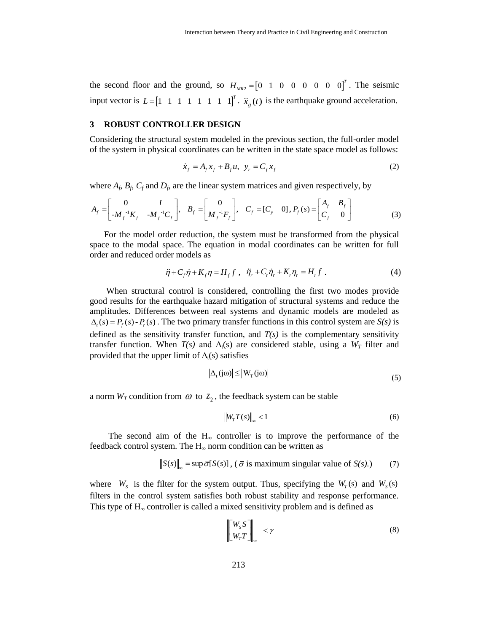the second floor and the ground, so  $H_{MR2} = \begin{bmatrix} 0 & 1 & 0 & 0 & 0 & 0 & 0 & 0 \end{bmatrix}^T$ . The seismic input vector is  $L = \begin{bmatrix} 1 & 1 & 1 & 1 & 1 & 1 & 1 & 1 \end{bmatrix}^T$ .  $\ddot{x}_s(t)$  is the earthquake ground acceleration.

## **3 ROBUST CONTROLLER DESIGN**

Considering the structural system modeled in the previous section, the full-order model of the system in physical coordinates can be written in the state space model as follows:

$$
\dot{x}_f = A_f x_f + B_f u, \ \ y_r = C_f x_f \tag{2}
$$

where 
$$
A_f
$$
,  $B_f$ ,  $C_f$  and  $D_f$ , are the linear system matrices and given respectively, by  
\n
$$
A_f = \begin{bmatrix} 0 & I \\ -M_f^{-1}K_f & -M_f^{-1}C_f \end{bmatrix}, B_f = \begin{bmatrix} 0 \\ M_f^{-1}F_f \end{bmatrix}, C_f = [C_y \quad 0], P_f(s) = \begin{bmatrix} A_f & B_f \\ C_f & 0 \end{bmatrix}
$$
\n(3)

For the model order reduction, the system must be transformed from the physical space to the modal space. The equation in modal coordinates can be written for full order and reduced order models as

$$
\ddot{\eta} + C_f \dot{\eta} + K_f \eta = H_f f \ , \quad \ddot{\eta}_r + C_r \dot{\eta}_r + K_r \eta_r = H_r f \ . \tag{4}
$$

When structural control is considered, controlling the first two modes provide good results for the earthquake hazard mitigation of structural systems and reduce the amplitudes. Differences between real systems and dynamic models are modeled as  $\Delta_t(s) = P_f(s) - P_s(s)$ . The two primary transfer functions in this control system are *S(s)* is defined as the sensitivity transfer function, and  $T(s)$  is the complementary sensitivity transfer function. When  $T(s)$  and  $\Delta_t(s)$  are considered stable, using a  $W_T$  filter and provided that the upper limit of  $\Delta_t(s)$  satisfies

$$
\left|\Delta_{t}(j\omega)\right| \leq \left|W_{T}(j\omega)\right|
$$
\n(5)

a norm  $W_T$  condition from  $\omega$  to  $z_2$ , the feedback system can be stable

$$
\left\|W_T T(s)\right\|_{\infty} < 1\tag{6}
$$

The second aim of the  $H_{\infty}$  controller is to improve the performance of the feedback control system. The  $H_{\infty}$  norm condition can be written as

$$
\|S(s)\|_{\infty} = \sup \overline{\sigma}[S(s)], \quad (\overline{\sigma} \text{ is maximum singular value of } S(s). \tag{7}
$$

where  $W_s$  is the filter for the system output. Thus, specifying the  $W_T(s)$  and  $W_s(s)$ filters in the control system satisfies both robust stability and response performance. This type of  $H_{\infty}$  controller is called a mixed sensitivity problem and is defined as

$$
\begin{bmatrix} W_s S \\ W_r T \end{bmatrix}_{\infty} < \gamma \tag{8}
$$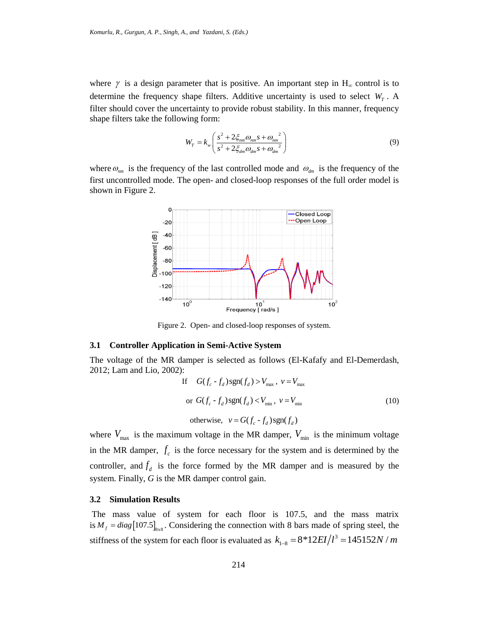where  $\gamma$  is a design parameter that is positive. An important step in  $H_{\infty}$  control is to determine the frequency shape filters. Additive uncertainty is used to select  $W_T$ . A filter should cover the uncertainty to provide robust stability. In this manner, frequency shape filters take the following form:

$$
W_T = k_w \left( \frac{s^2 + 2 \xi_{nm} \omega_{nm} s + \omega_{nm}^2}{s^2 + 2 \xi_{dm} \omega_{dm} s + \omega_{dm}^2} \right)
$$
(9)

where  $\omega_{nm}$  is the frequency of the last controlled mode and  $\omega_{dm}$  is the frequency of the first uncontrolled mode. The open- and closed-loop responses of the full order model is shown in Figure 2.



Figure 2. Open- and closed-loop responses of system.

#### **3.1 Controller Application in Semi-Active System**

The voltage of the MR damper is selected as follows (El-Kafafy and El-Demerdash, 2012; Lam and Lio, 2002):

If 
$$
G(f_c - f_d) \text{sgn}(f_d) > V_{\text{max}}
$$
,  $v = V_{\text{max}}$   
or  $G(f_c - f_d) \text{sgn}(f_d) < V_{\text{min}}$ ,  $v = V_{\text{min}}$  (10)  
otherwise,  $v = G(f_c - f_d) \text{sgn}(f_d)$ 

where  $V_{\text{max}}$  is the maximum voltage in the MR damper,  $V_{\text{min}}$  is the minimum voltage in the MR damper,  $f_c$  is the force necessary for the system and is determined by the controller, and  $f_d$  is the force formed by the MR damper and is measured by the system. Finally, *G* is the MR damper control gain.

### **3.2 Simulation Results**

The mass value of system for each floor is 107.5, and the mass matrix is  $M_f = diag[107.5]_{\text{ssa}}$ . Considering the connection with 8 bars made of spring steel, the stiffness of the system for each floor is evaluated as  $k_{1} = 8*12EI/l^3$ ture of spring steet, the  $k_{1-8} = 8*12EI/l^3 = 145152N/m$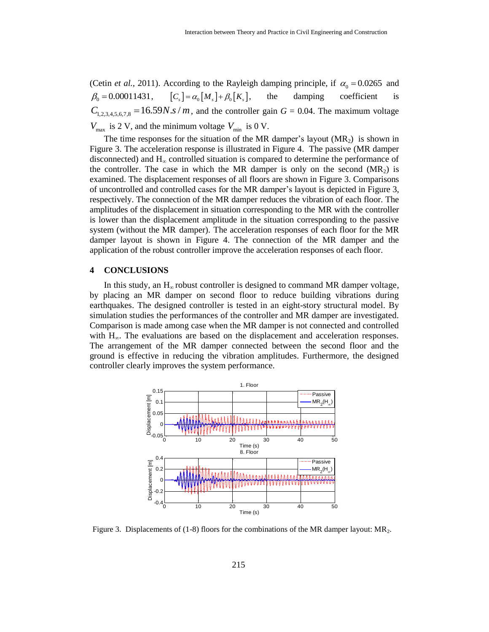(Cetin *et al.*, 2011). According to the Rayleigh damping principle, if  $\alpha_0 = 0.0265$  and  $\beta_0 = 0.00011431,$  $[C_{s}] = \alpha_{0} [M_{s}] + \beta_{0} [K_{s}],$ , the damping coefficient is  $C_{1,2,3,4,5,6,7,8} = 16.59 N.s/m$ , and the controller gain  $G = 0.04$ . The maximum voltage  $V_{\text{max}}$  is 2 V, and the minimum voltage  $V_{\text{min}}$  is 0 V.

The time responses for the situation of the MR damper's layout  $(MR_2)$  is shown in Figure 3. The acceleration response is illustrated in Figure 4. The passive (MR damper disconnected) and  $H_{\infty}$  controlled situation is compared to determine the performance of the controller. The case in which the MR damper is only on the second  $(MR_2)$  is examined. The displacement responses of all floors are shown in Figure 3. Comparisons of uncontrolled and controlled cases for the MR damper's layout is depicted in Figure 3, respectively. The connection of the MR damper reduces the vibration of each floor. The amplitudes of the displacement in situation corresponding to the MR with the controller is lower than the displacement amplitude in the situation corresponding to the passive system (without the MR damper). The acceleration responses of each floor for the MR damper layout is shown in Figure 4. The connection of the MR damper and the application of the robust controller improve the acceleration responses of each floor.

# **4 CONCLUSIONS**

In this study, an  $H_{\infty}$  robust controller is designed to command MR damper voltage, by placing an MR damper on second floor to reduce building vibrations during earthquakes. The designed controller is tested in an eight-story structural model. By simulation studies the performances of the controller and MR damper are investigated. Comparison is made among case when the MR damper is not connected and controlled with  $H_{\infty}$ . The evaluations are based on the displacement and acceleration responses. The arrangement of the MR damper connected between the second floor and the ground is effective in reducing the vibration amplitudes. Furthermore, the designed controller clearly improves the system performance.



Figure 3. Displacements of (1-8) floors for the combinations of the MR damper layout: MR2.